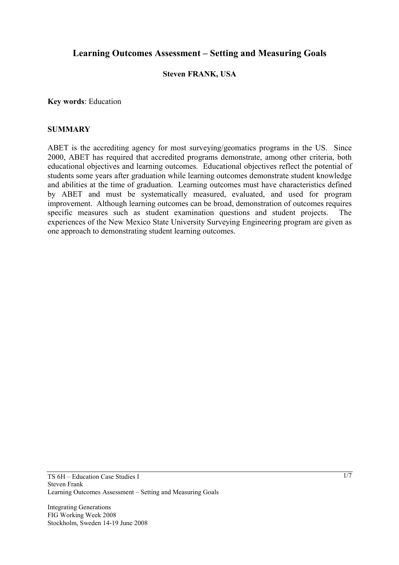# **Learning Outcomes Assessment – Setting and Measuring Goals**

#### **Steven FRANK, USA**

**Key words**: Education

#### **SUMMARY**

ABET is the accrediting agency for most surveying/geomatics programs in the US. Since 2000, ABET has required that accredited programs demonstrate, among other criteria, both educational objectives and learning outcomes. Educational objectives reflect the potential of students some years after graduation while learning outcomes demonstrate student knowledge and abilities at the time of graduation. Learning outcomes must have characteristics defined by ABET and must be systematically measured, evaluated, and used for program improvement. Although learning outcomes can be broad, demonstration of outcomes requires specific measures such as student examination questions and student projects. The experiences of the New Mexico State University Surveying Engineering program are given as one approach to demonstrating student learning outcomes.

Integrating Generations FIG Working Week 2008 Stockholm, Sweden 14-19 June 2008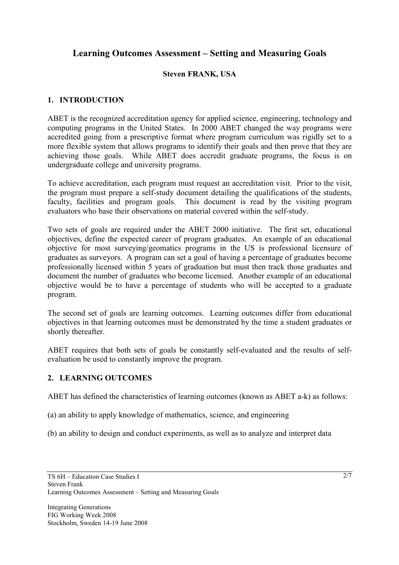# **Learning Outcomes Assessment – Setting and Measuring Goals**

## **Steven FRANK, USA**

## **1. INTRODUCTION**

ABET is the recognized accreditation agency for applied science, engineering, technology and computing programs in the United States. In 2000 ABET changed the way programs were accredited going from a prescriptive format where program curriculum was rigidly set to a more flexible system that allows programs to identify their goals and then prove that they are achieving those goals. While ABET does accredit graduate programs, the focus is on undergraduate college and university programs.

To achieve accreditation, each program must request an accreditation visit. Prior to the visit, the program must prepare a self-study document detailing the qualifications of the students, faculty, facilities and program goals. This document is read by the visiting program evaluators who base their observations on material covered within the self-study.

Two sets of goals are required under the ABET 2000 initiative. The first set, educational objectives, define the expected career of program graduates. An example of an educational objective for most surveying/geomatics programs in the US is professional licensure of graduates as surveyors. A program can set a goal of having a percentage of graduates become professionally licensed within 5 years of graduation but must then track those graduates and document the number of graduates who become licensed. Another example of an educational objective would be to have a percentage of students who will be accepted to a graduate program.

The second set of goals are learning outcomes. Learning outcomes differ from educational objectives in that learning outcomes must be demonstrated by the time a student graduates or shortly thereafter.

ABET requires that both sets of goals be constantly self-evaluated and the results of selfevaluation be used to constantly improve the program.

#### **2. LEARNING OUTCOMES**

ABET has defined the characteristics of learning outcomes (known as ABET a-k) as follows:

(a) an ability to apply knowledge of mathematics, science, and engineering

(b) an ability to design and conduct experiments, as well as to analyze and interpret data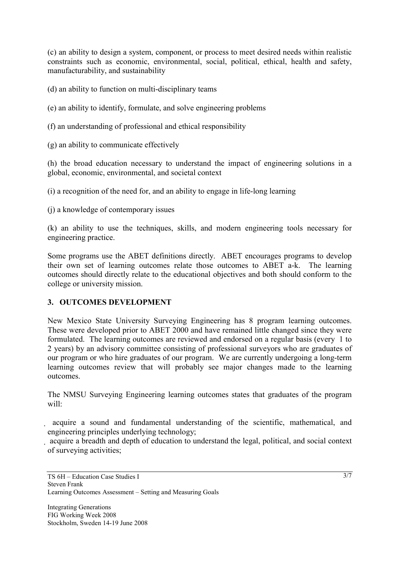(c) an ability to design a system, component, or process to meet desired needs within realistic constraints such as economic, environmental, social, political, ethical, health and safety, manufacturability, and sustainability

- (d) an ability to function on multi-disciplinary teams
- (e) an ability to identify, formulate, and solve engineering problems
- (f) an understanding of professional and ethical responsibility
- (g) an ability to communicate effectively

(h) the broad education necessary to understand the impact of engineering solutions in a global, economic, environmental, and societal context

(i) a recognition of the need for, and an ability to engage in life-long learning

(j) a knowledge of contemporary issues

(k) an ability to use the techniques, skills, and modern engineering tools necessary for engineering practice.

Some programs use the ABET definitions directly. ABET encourages programs to develop their own set of learning outcomes relate those outcomes to ABET a-k. The learning outcomes should directly relate to the educational objectives and both should conform to the college or university mission.

#### **3. OUTCOMES DEVELOPMENT**

New Mexico State University Surveying Engineering has 8 program learning outcomes. These were developed prior to ABET 2000 and have remained little changed since they were formulated. The learning outcomes are reviewed and endorsed on a regular basis (every 1 to 2 years) by an advisory committee consisting of professional surveyors who are graduates of our program or who hire graduates of our program. We are currently undergoing a long-term learning outcomes review that will probably see major changes made to the learning outcomes.

The NMSU Surveying Engineering learning outcomes states that graduates of the program will:

 acquire a sound and fundamental understanding of the scientific, mathematical, and engineering principles underlying technology;

 acquire a breadth and depth of education to understand the legal, political, and social context of surveying activities;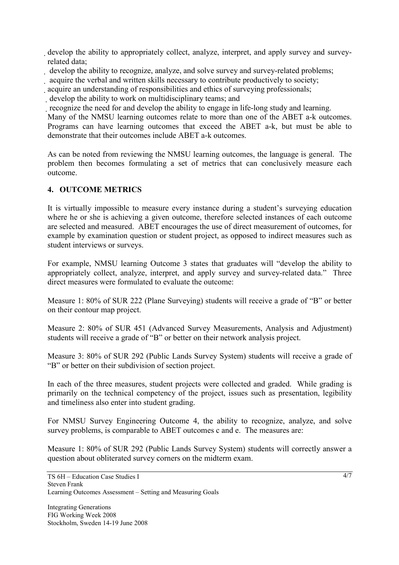develop the ability to appropriately collect, analyze, interpret, and apply survey and surveyrelated data;

develop the ability to recognize, analyze, and solve survey and survey-related problems;

acquire the verbal and written skills necessary to contribute productively to society;

acquire an understanding of responsibilities and ethics of surveying professionals;

develop the ability to work on multidisciplinary teams; and

recognize the need for and develop the ability to engage in life-long study and learning.

Many of the NMSU learning outcomes relate to more than one of the ABET a-k outcomes. Programs can have learning outcomes that exceed the ABET a-k, but must be able to demonstrate that their outcomes include ABET a-k outcomes.

As can be noted from reviewing the NMSU learning outcomes, the language is general. The problem then becomes formulating a set of metrics that can conclusively measure each outcome.

# **4. OUTCOME METRICS**

It is virtually impossible to measure every instance during a student's surveying education where he or she is achieving a given outcome, therefore selected instances of each outcome are selected and measured. ABET encourages the use of direct measurement of outcomes, for example by examination question or student project, as opposed to indirect measures such as student interviews or surveys.

For example, NMSU learning Outcome 3 states that graduates will "develop the ability to appropriately collect, analyze, interpret, and apply survey and survey-related data." Three direct measures were formulated to evaluate the outcome:

Measure 1: 80% of SUR 222 (Plane Surveying) students will receive a grade of "B" or better on their contour map project.

Measure 2: 80% of SUR 451 (Advanced Survey Measurements, Analysis and Adjustment) students will receive a grade of "B" or better on their network analysis project.

Measure 3: 80% of SUR 292 (Public Lands Survey System) students will receive a grade of "B" or better on their subdivision of section project.

In each of the three measures, student projects were collected and graded. While grading is primarily on the technical competency of the project, issues such as presentation, legibility and timeliness also enter into student grading.

For NMSU Survey Engineering Outcome 4, the ability to recognize, analyze, and solve survey problems, is comparable to ABET outcomes c and e. The measures are:

Measure 1: 80% of SUR 292 (Public Lands Survey System) students will correctly answer a question about obliterated survey corners on the midterm exam.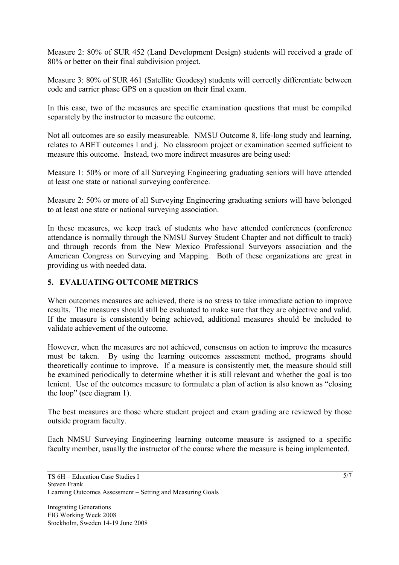Measure 2: 80% of SUR 452 (Land Development Design) students will received a grade of 80% or better on their final subdivision project.

Measure 3: 80% of SUR 461 (Satellite Geodesy) students will correctly differentiate between code and carrier phase GPS on a question on their final exam.

In this case, two of the measures are specific examination questions that must be compiled separately by the instructor to measure the outcome.

Not all outcomes are so easily measureable. NMSU Outcome 8, life-long study and learning, relates to ABET outcomes l and j. No classroom project or examination seemed sufficient to measure this outcome. Instead, two more indirect measures are being used:

Measure 1: 50% or more of all Surveying Engineering graduating seniors will have attended at least one state or national surveying conference.

Measure 2: 50% or more of all Surveying Engineering graduating seniors will have belonged to at least one state or national surveying association.

In these measures, we keep track of students who have attended conferences (conference attendance is normally through the NMSU Survey Student Chapter and not difficult to track) and through records from the New Mexico Professional Surveyors association and the American Congress on Surveying and Mapping. Both of these organizations are great in providing us with needed data.

#### **5. EVALUATING OUTCOME METRICS**

When outcomes measures are achieved, there is no stress to take immediate action to improve results. The measures should still be evaluated to make sure that they are objective and valid. If the measure is consistently being achieved, additional measures should be included to validate achievement of the outcome.

However, when the measures are not achieved, consensus on action to improve the measures must be taken. By using the learning outcomes assessment method, programs should theoretically continue to improve. If a measure is consistently met, the measure should still be examined periodically to determine whether it is still relevant and whether the goal is too lenient. Use of the outcomes measure to formulate a plan of action is also known as "closing the loop" (see diagram 1).

The best measures are those where student project and exam grading are reviewed by those outside program faculty.

Each NMSU Surveying Engineering learning outcome measure is assigned to a specific faculty member, usually the instructor of the course where the measure is being implemented.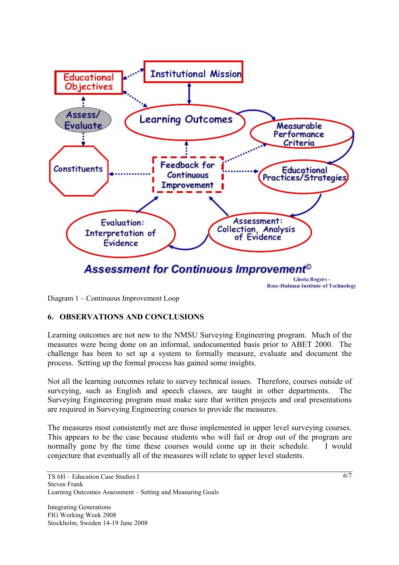

Diagram 1 – Continuous Improvement Loop

#### **6. OBSERVATIONS AND CONCLUSIONS**

Learning outcomes are not new to the NMSU Surveying Engineering program. Much of the measures were being done on an informal, undocumented basis prior to ABET 2000. The challenge has been to set up a system to formally measure, evaluate and document the process. Setting up the formal process has gained some insights.

Not all the learning outcomes relate to survey technical issues. Therefore, courses outside of surveying, such as English and speech classes, are taught in other departments. The Surveying Engineering program must make sure that written projects and oral presentations are required in Surveying Engineering courses to provide the measures.

The measures most consistently met are those implemented in upper level surveying courses. This appears to be the case because students who will fail or drop out of the program are normally gone by the time these courses would come up in their schedule. I would conjecture that eventually all of the measures will relate to upper level students.